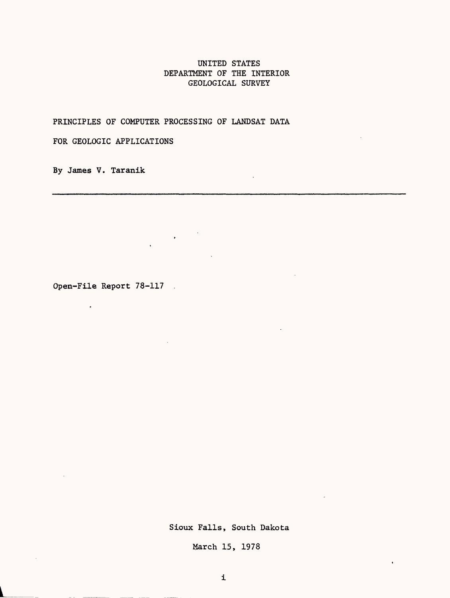# UNITED STATES DEPARTMENT OF THE INTERIOR GEOLOGICAL SURVEY

PRINCIPLES OF COMPUTER PROCESSING OF LANDSAT DATA

 $\label{eq:2.1} \frac{1}{\sqrt{2\pi}}\left(\frac{1}{\sqrt{2\pi}}\right)^{1/2}\frac{1}{\sqrt{2\pi}}\left(\frac{1}{\sqrt{2\pi}}\right)^{1/2}$ 

FOR GEOLOGIC APPLICATIONS

By James V. Taranik

Open-File Report 78-117

 $\hat{\mathbf{r}}$ 

Sioux Falls, South Dakota

March 15, 1978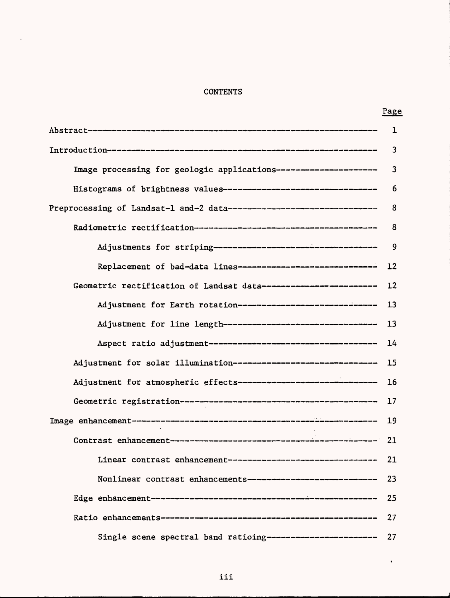# **CONTENTS**

 $\Delta$ 

|--|

 $\ddot{\phantom{1}}$ 

|                                                                          | $\mathbf 1$             |
|--------------------------------------------------------------------------|-------------------------|
|                                                                          | $\overline{3}$          |
| Image processing for geologic applications----------------------         | $\overline{\mathbf{3}}$ |
| Histograms of brightness values-----------------------------------       | 6                       |
| Preprocessing of Landsat-1 and-2 data--------------------------------- 8 |                         |
|                                                                          |                         |
|                                                                          |                         |
| Replacement of bad-data lines------------------------------ 12           |                         |
| Geometric rectification of Landsat data------------------------- 12      |                         |
| Adjustment for Earth rotation----------------------------- 13            |                         |
| Adjustment for line length--------------------------------- 13           |                         |
|                                                                          |                         |
| Adjustment for solar illumination------------------------------- 15      |                         |
| Adjustment for atmospheric effects-------------------------------        | 16                      |
|                                                                          | 17                      |
|                                                                          |                         |
|                                                                          |                         |
| Linear contrast enhancement-------------------------------               | 21                      |
| Nonlinear contrast enhancements-----------------------------             | 23                      |
|                                                                          | 25                      |
|                                                                          | 27                      |
| Single scene spectral band ratioing-----------------------               | 27                      |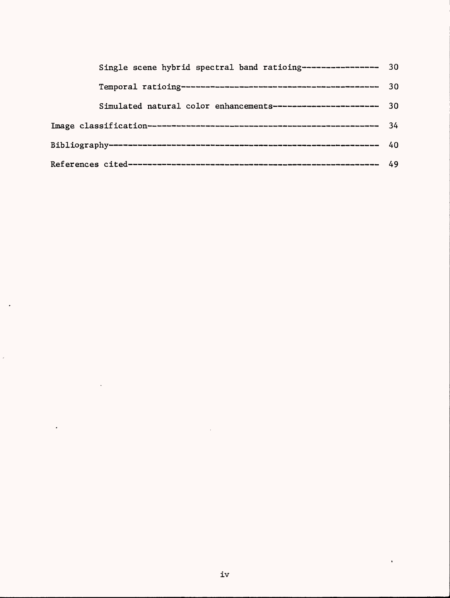| Single scene hybrid spectral band ratioing----------------- 30 |  |  |
|----------------------------------------------------------------|--|--|
|                                                                |  |  |
| Simulated natural color enhancements----------------------- 30 |  |  |
|                                                                |  |  |
|                                                                |  |  |
|                                                                |  |  |

l,

 $\ddot{\phantom{0}}$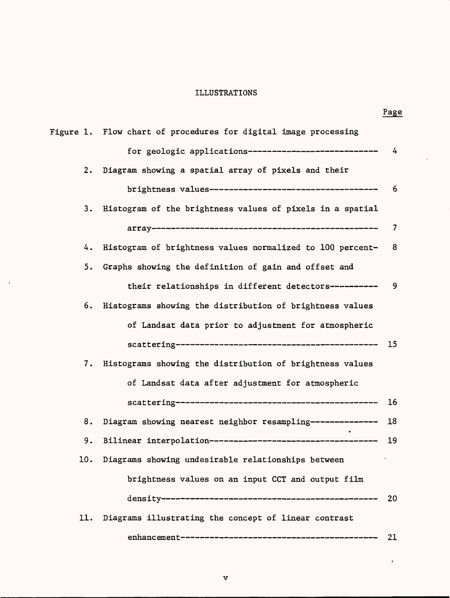# ILLUSTRATIONS

 $\overline{\phantom{a}}$ 

 $\hat{\mathbf{r}}$ 

|     |                                                                 | Page |
|-----|-----------------------------------------------------------------|------|
|     | Figure 1. Flow chart of procedures for digital image processing |      |
|     | for geologic applications----------------------------           | 4    |
| 2.  | Diagram showing a spatial array of pixels and their             |      |
|     | brightness values----------------------------------             | 6    |
| 3.  | Histogram of the brightness values of pixels in a spatial       |      |
|     |                                                                 | 7    |
| 4.  | Histogram of brightness values normalized to 100 percent-       | 8    |
| 5.  | Graphs showing the definition of gain and offset and            |      |
|     | their relationships in different detectors----------            | 9    |
| 6.  | Histograms showing the distribution of brightness values        |      |
|     | of Landsat data prior to adjustment for atmospheric             |      |
|     |                                                                 | 15   |
| 7.  | Histograms showing the distribution of brightness values        |      |
|     | of Landsat data after adjustment for atmospheric                |      |
|     |                                                                 | 16   |
| 8.  | Diagram showing nearest neighbor resampling---------------      | 18   |
| 9.  |                                                                 | 19   |
|     | 10. Diagrams showing undesirable relationships between          |      |
|     | brightness values on an input CCT and output film               |      |
|     |                                                                 | 20   |
| 11. | Diagrams illustrating the concept of linear contrast            |      |

 $\hat{\mathbf{v}}$ 

v

enhancement 21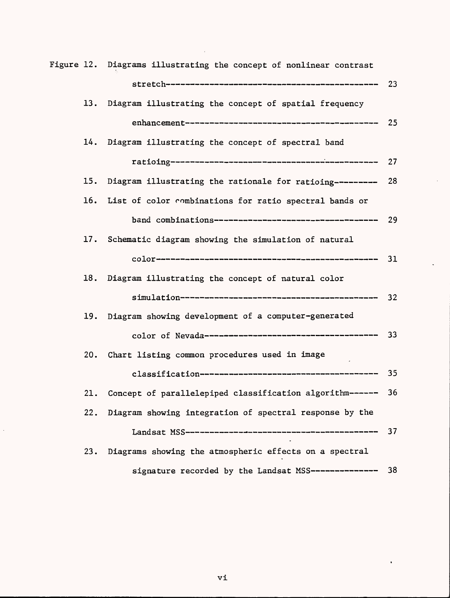|     | Figure 12. Diagrams illustrating the concept of nonlinear contrast |      |
|-----|--------------------------------------------------------------------|------|
|     |                                                                    |      |
|     | 13. Diagram illustrating the concept of spatial frequency          |      |
|     |                                                                    |      |
|     | 14. Diagram illustrating the concept of spectral band              |      |
|     |                                                                    | 27   |
| 15. | Diagram illustrating the rationale for ratioing---------           | 28   |
| 16. | List of color combinations for ratio spectral bands or             |      |
|     |                                                                    | 29   |
| 17. | Schematic diagram showing the simulation of natural                |      |
|     |                                                                    | - 31 |
| 18. | Diagram illustrating the concept of natural color                  |      |
|     |                                                                    | 32   |
| 19. | Diagram showing development of a computer-generated                |      |
|     |                                                                    |      |
| 20. | Chart listing common procedures used in image                      |      |
|     |                                                                    | - 35 |
| 21. | Concept of parallelepiped classification algorithm------ 36        |      |
|     | 22. Diagram showing integration of spectral response by the        |      |
|     |                                                                    | 37   |
| 23. | Diagrams showing the atmospheric effects on a spectral             |      |
|     | signature recorded by the Landsat MSS---------------               | 38   |

 $\bar{z}$ 

J.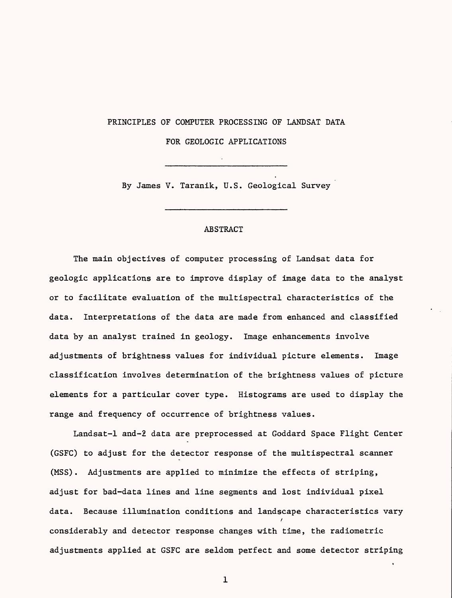#### PRINCIPLES OF COMPUTER PROCESSING OF LANDSAT DATA

FOR GEOLOGIC APPLICATIONS

By James V. Taranik, U.S. Geological Survey

### ABSTRACT

The main objectives of computer processing of Landsat data for geologic applications are to improve display of image data to the analyst or to facilitate evaluation of the multispectral characteristics of the data. Interpretations of the data are made from enhanced and classified data by an analyst trained in geology. Image enhancements involve adjustments of brightness values for individual picture elements. Image classification involves determination of the brightness values of picture elements for a particular cover type. Histograms are used to display the range and frequency of occurrence of brightness values.

Landsat-1 and-2 data are preprocessed at Goddard Space Flight Center (GSFC) to adjust for the detector response of the multispectral scanner (MSS). Adjustments are applied to minimize the effects of striping, adjust for bad-data lines and line segments and lost individual pixel data. Because illumination conditions and landscape characteristics vary / considerably and detector response changes with time, the radiometric adjustments applied at GSFC are seldom perfect and some detector striping

 $\mathbf 1$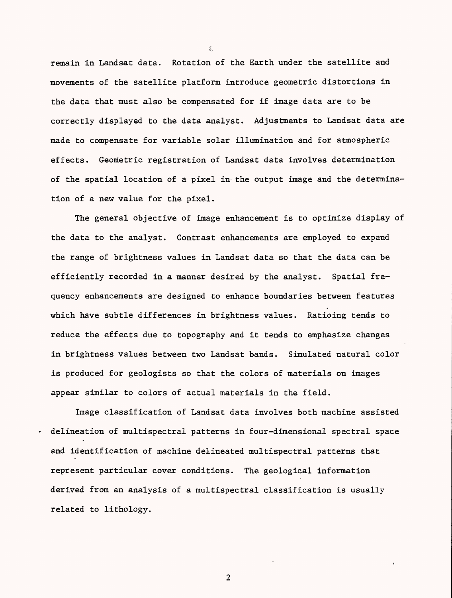remain in Landsat data. Rotation of the Earth under the satellite and movements of the satellite platform introduce geometric distortions in the data that must also be compensated for if image data are to be correctly displayed to the data analyst. Adjustments to Landsat data are made to compensate for variable solar illumination and for atmospheric effects. Geometric registration of Landsat data involves determination of the spatial location of a pixel in the output image and the determination of a new value for the pixel.

The general objective of image enhancement is to optimize display of the data to the analyst. Contrast enhancements are employed to expand the range of brightness values in Landsat data so that the data can be efficiently recorded in a manner desired by the analyst. Spatial frequency enhancements are designed to enhance boundaries between features which have subtle differences in brightness values. Ratioing tends to reduce the effects due to topography and it tends to emphasize changes in brightness values between two Landsat bands. Simulated natural color is produced for geologists so that the colors of materials on images appear similar to colors of actual materials in the field.

Image classification of Landsat data involves both machine assisted delineation of multispectral patterns in four-dimensional spectral space and identification of machine delineated multispectral patterns that represent particular cover conditions. The geological information derived from an analysis of a multispectral classification is usually related to lithology.

 $\overline{2}$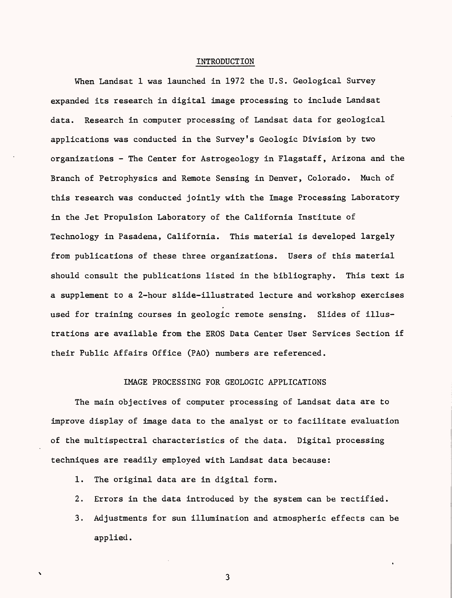#### INTRODUCTION

When Landsat 1 was launched in 1972 the U.S. Geological Survey expanded its research in digital image processing to include Landsat data. Research in computer processing of Landsat data for geological applications was conducted in the Survey's Geologic Division by two organizations - The Center for Astrogeology in Flagstaff, Arizona and the Branch of Petrophysics and Remote Sensing in Denver, Colorado. Much of this research was conducted jointly with the Image Processing Laboratory in the Jet Propulsion Laboratory of the California Institute of Technology in Pasadena, California. This material is developed largely from publications of these three organizations. Users of this material should consult the publications listed in the bibliography. This text is a supplement to a 2-hour slide-illustrated lecture and workshop exercises used for training courses in geologic remote sensing. Slides of illustrations are available from the EROS Data Center User Services Section if their Public Affairs Office (PAO) numbers are referenced.

### IMAGE PROCESSING FOR GEOLOGIC APPLICATIONS

The main objectives of computer processing of Landsat data are to improve display of image data to the analyst or to facilitate evaluation of the multispectral characteristics of the data. Digital processing techniques are readily employed with Landsat data because:

- 1. The original data are in digital form.
- 2. Errors in the data introduced by the system can be rectified.
- 3. Adjustments for sun illumination and atmospheric effects can be applied.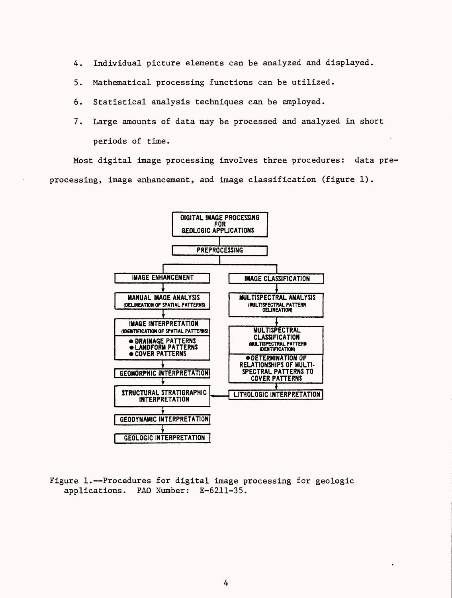- 4. Individual picture elements can be analyzed and displayed.
- 5. Mathematical processing functions can be utilized.
- 6. Statistical analysis techniques can be employed.
- 7. Large amounts of data may be processed and analyzed in short periods of time.

Most digital image processing involves three procedures: data preprocessing, image enhancement, and image classification (figure 1).



Figure  $1.$ --Procedures for digital image processing for geologic applications. PAD Number: E-6211-35.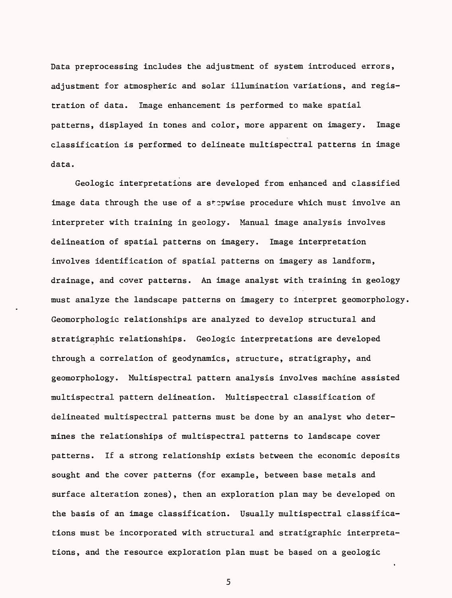Data preprocessing includes the adjustment of system introduced errors, adjustment for atmospheric and solar illumination variations, and registration of data. Image enhancement is performed to make spatial patterns, displayed in tones and color, more apparent on imagery. Image classification is performed to delineate multispectral patterns in image data.

Geologic interpretations are developed from enhanced and classified image data through the use of a stepwise procedure which must involve an interpreter with training in geology. Manual image analysis involves delineation of spatial patterns on imagery. Image interpretation involves identification of spatial patterns on imagery as landform, drainage, and cover patterns. An image analyst with training in geology must analyze the landscape patterns on imagery to interpret geomorphology Geomorphologic relationships are analyzed to develop structural and stratigraphic relationships. Geologic interpretations are developed through a correlation of geodynamics, structure, stratigraphy, and geomorphology. Multispectral pattern analysis involves machine assisted multispectral pattern delineation. Multispectral classification of delineated multispectral patterns must be done by an analyst who determines the relationships of multispectral patterns to landscape cover patterns. If a strong relationship exists between the economic deposits sought and the cover patterns (for example, between base metals and surface alteration zones), then an exploration plan may be developed on the basis of an image classification. Usually multispectral classifications must be incorporated with structural and stratigraphic interpretations, and the resource exploration plan must be based on a geologic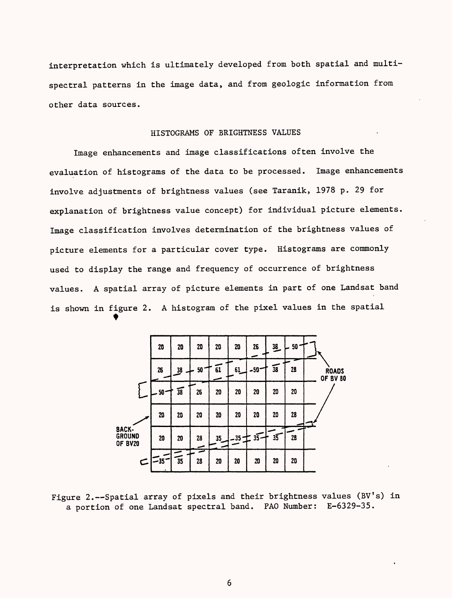interpretation which is ultimately developed from both spatial and multispectral patterns in the image data, and from geologic information from other data sources.

## HISTOGRAMS OF BRIGHTNESS VALUES

Image enhancements and image classifications often involve the evaluation of histograms of the data to be processed. Image enhancements involve adjustments of brightness values (see Taranik, 1978 p. 29 for explanation of brightness value concept) for individual picture elements. Image classification involves determination of the brightness values of picture elements for a particular cover type. Histograms are commonly used to display the range and frequency of occurrence of brightness values. A spatial array of picture elements in part of one Landsat band is shown in figure 2. A histogram of the pixel values in the spatial



Figure 2.--Spatial array of pixels and their brightness values (BV's) in a portion of one Landsat spectral band. PAO Number: E-6329-35.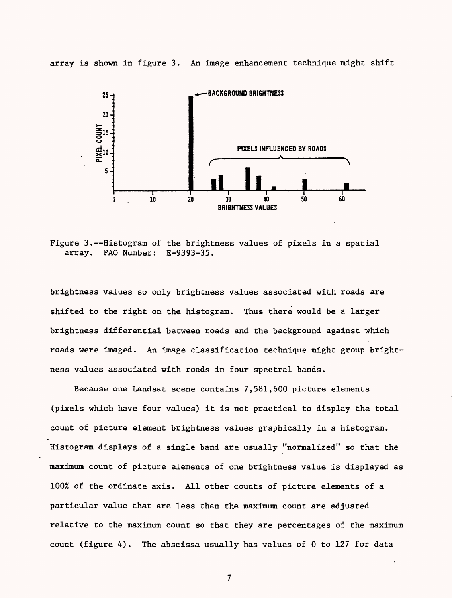

array is shown in figure 3. An image enhancement technique might shift

Figure  $3.$ --Histogram of the brightness values of pixels in a spatial array. PAD Number: E-9393-35.

brightness values so only brightness values associated with roads are shifted to the right on the histogram. Thus there would be a larger brightness differential between roads and the background against which roads were imaged. An Image classification technique might group brightness values associated with roads in four spectral bands.

Because one Landsat scene contains 7,581,600 picture elements (pixels which have four values) it is not practical to display the total count of picture element brightness values graphically in a histogram. Histogram displays of a single band are usually "normalized" so that the maximum count of picture elements of one brightness value is displayed as 100% of the ordinate axis. All other counts of picture elements of a particular value that are less than the maximum count are adjusted relative to the maximum count so that they are percentages of the maximum count (figure 4). The abscissa usually has values of 0 to 127 for data

 $\overline{7}$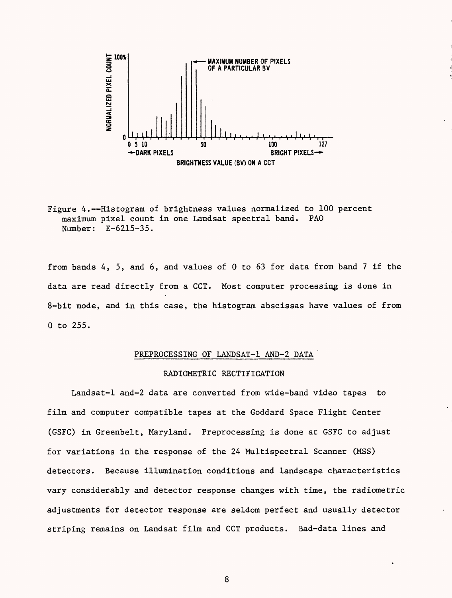

Figure 4.--Histogram of brightness values normalized to 100 percent maximum pixel count in one Landsat spectral band. PAO Number: E-6215-35.

from bands 4, 5, and 6, and values of 0 to 63 for data from band 7 if the data are read directly from a CCT. Most computer processing is done in 8-bit mode, and in this case, the histogram abscissas have values of from 0 to 255.

### PREPROCESSING OF LANDSAT-1 AND-2 DATA

### RADIOMETRIC RECTIFICATION

Landsat-1 and-2 data are converted from wide-band video tapes to film and computer compatible tapes at the Goddard Space Flight Center (GSFC) in Greenbelt, Maryland. Preprocessing is done at GSFC to adjust for variations in the response of the 24 Multispectral Scanner (MSS) detectors. Because illumination conditions and landscape characteristics vary considerably and detector response changes with time, the radiometric adjustments for detector response are seldom perfect and usually detector striping remains on Landsat film and CCT products. Bad-data lines and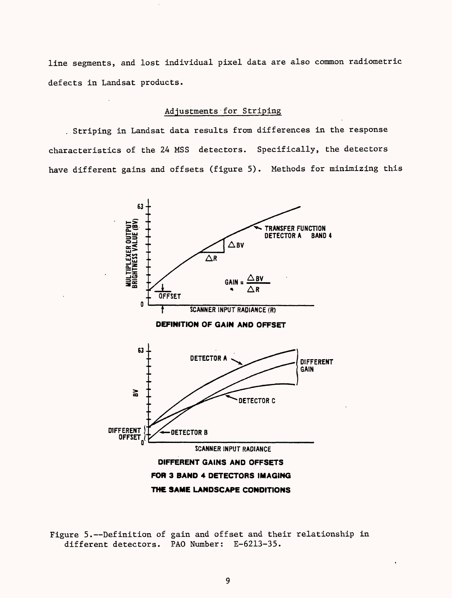line segments, and lost individual pixel data are also common radiometric defects in Landsat products.

### Adjustments for Striping

Striping in Landsat data results from differences in the response characteristics of the 24 MSS detectors. Specifically, the detectors have different gains and offsets (figure 5). Methods for minimizing this



Figure 5.--Definition of gain and offset and their relationship in different detectors. PAO Number: E-6213-35.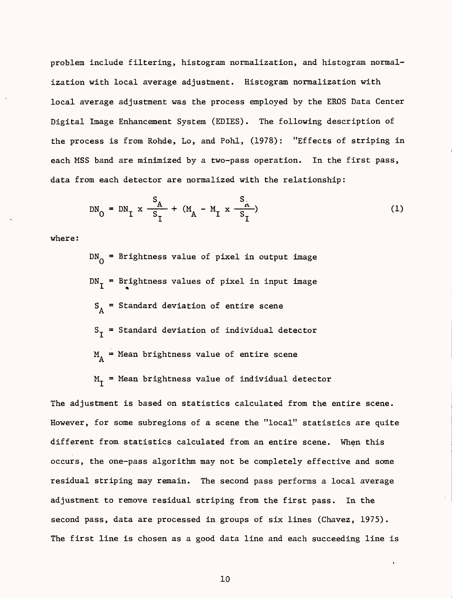problem include filtering, histogram normalization, and histogram normalization with local average adjustment. Histogram normalization with local average adjustment was the process employed by the EROS Data Center Digital Image Enhancement System (EDIES). The following description of the process is from Rohde, Lo, and Pohl, (1978): "Effects of striping in each MSS band are minimized by a two-pass operation. In the first pass, data from each detector are normalized with the relationship:

$$
DN_0 = DN_1 \times \frac{S_A}{S_T} + (M_A - M_I \times \frac{S_A}{S_T})
$$
 (1)

where:

 $DN_0$  = Brightness value of pixel in output image  $DN_T =$  Brightness values of pixel in input image  $S_A$  = Standard deviation of entire scene  $S_{I}$  = Standard deviation of individual detector  $M_A$  = Mean brightness value of entire scene  $M_T$  = Mean brightness value of individual detector

The adjustment is based on statistics calculated from the entire scene. However, for some subregions of a scene the "local" statistics are quite different from statistics calculated from an entire scene. When this occurs, the one-pass algorithm may not be completely effective and some residual striping may remain. The second pass performs a local average adjustment to remove residual striping from the first pass. In the second pass, data are processed in groups of six lines (Chavez, 1975). The first line is chosen as a good data line and each succeeding line is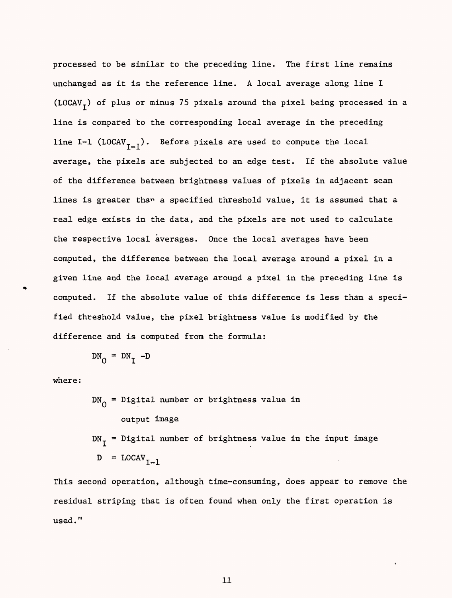processed to be similar to the preceding line. The first line remains unchanged as it is the reference line. A local average along line I (LOCAV<sub>T</sub>) of plus or minus 75 pixels around the pixel being processed in a line is compared 'to the corresponding local average in the preceding line I-1 (LOCAV<sub>I-1</sub>). Before pixels are used to compute the local average, the pixels are subjected to an edge test. If the absolute value of the difference between brightness values of pixels in adjacent scan lines is greater tham a specified threshold value, it is assumed that a real edge exists in the data, and the pixels are not used to calculate the respective local averages. Once the local averages have been computed, the difference between the local average around a pixel in a given line and the local average around a pixel in the preceding line is computed. If the absolute value of this difference is less than a specified threshold value, the pixel brightness value is modified by the difference and is computed from the formula:

$$
DN_0 = DN_T - D
$$

where:

 $DN_0$  = Digital number or brightness value in output image  $DN_T$  = Digital number of brightness value in the input image  $D = LOGV_{T-1}$ 

This second operation, although time-consuming, does appear to remove the residual striping that is often found when only the first operation is used."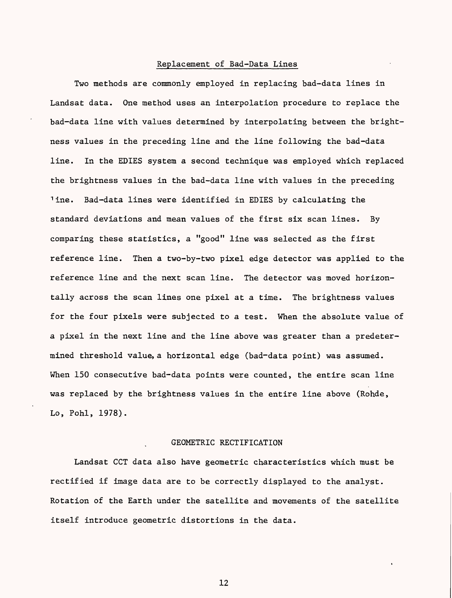### Replacement of Bad-Data Lines

Two methods are commonly employed in replacing bad-data lines in Landsat data. One method uses an interpolation procedure to replace the bad-data line with values determined by interpolating between the brightness values in the preceding line and the line following the bad-data line. In the EDIES system a second technique was employed which replaced the brightness values in the bad-data line with values in the preceding Tine. Bad-data lines were identified in EDIES by calculating the standard deviations and mean values of the first six scan lines. By comparing these statistics, a "good" line was selected as the first reference line. Then a two-by-two pixel edge detector was applied to the reference line and the next scan line. The detector was moved horizontally across the scan lines one pixel at a time. The brightness values for the four pixels were subjected to a test. When the absolute value of a pixel in the next line and the line above was greater than a predetermined threshold value, a horizontal edge (bad-data point) was assumed. When 150 consecutive bad-data points were counted, the entire scan line was replaced by the brightness values in the entire line above (Rohde, Lo, Pohl, 1978).

## GEOMETRIC RECTIFICATION

Landsat CCT data also have geometric characteristics which must be rectified if image data are to be correctly displayed to the analyst. Rotation of the Earth under the satellite and movements of the satellite itself introduce geometric distortions in the data.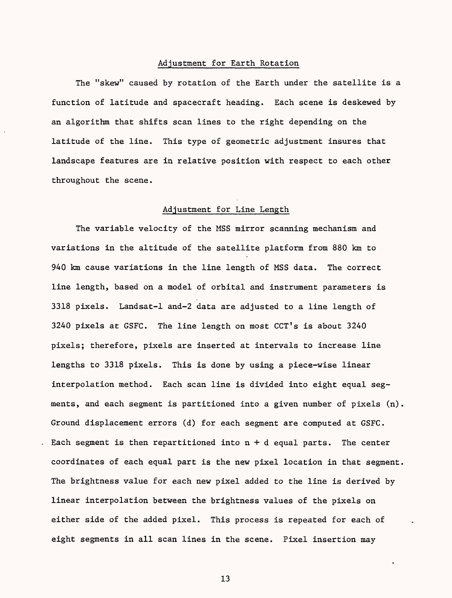### Adjustment for Earth Rotation

The "skew" caused by rotation of the Earth under the satellite is a function of latitude and spacecraft heading. Each scene is deskewed by an algorithm that shifts scan lines to the right depending on the latitude of the line. This type of geometric adjustment insures that landscape features are in relative position with respect to each other throughout the scene.

### Adjustment for Line Length

The variable velocity of the MSS mirror scanning mechanism and variations in the altitude of the satellite platform from 880 km to 940 km cause variations in the line length of MSS data. The correct line length, based on a model of orbital and instrument parameters is 3318 pixels. Landsat-1 and-2 data are adjusted to a line length of 3240 pixels at GSFC. The line length on most CCT's is about 3240 pixels; therefore, pixels are inserted at intervals to increase line lengths to 3318 pixels. This is done by using a piece-wise linear interpolation method. Each scan line is divided into eight equal segments, and each segment is partitioned into a given number of pixels (n). Ground displacement errors (d) for each segment are computed at GSFC. Each segment is then repartitioned into  $n + d$  equal parts. The center coordinates of each equal part is the new pixel location in that segment. The brightness value for each new pixel added to the line is derived by linear interpolation between the brightness values of the pixels on either side of the added pixel. This process is repeated for each of eight segments in all scan lines in the scene. Pixel insertion may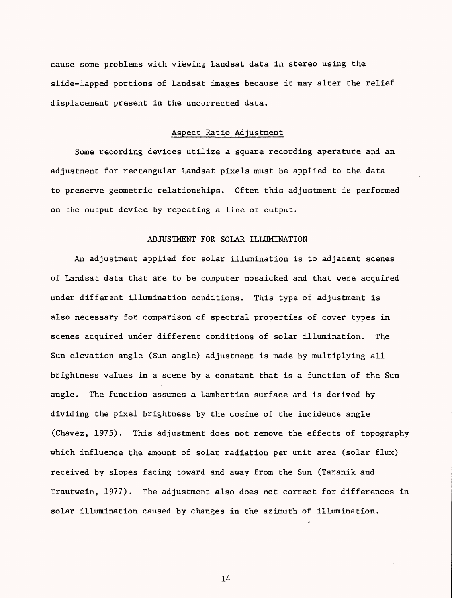cause some problems with viewing Landsat data in stereo using the slide-lapped portions of Landsat images because it may alter the relief displacement present in the uncorrected data.

#### Aspect Ratio Adjustment

Some recording devices utilize a square recording aperature and an adjustment for rectangular Landsat pixels must be applied to the data to preserve geometric relationships. Often this adjustment is performed on the output device by repeating a line of output.

## ADJUSTMENT FOR SOLAR ILLUMINATION

An adjustment applied for solar illumination is to adjacent scenes of Landsat data that are to be computer mosaicked and that were acquired under different illumination conditions. This type of adjustment is also necessary for comparison of spectral properties of cover types in scenes acquired under different conditions of solar illumination. The Sun elevation angle (Sun angle) adjustment is made by multiplying all brightness values in a scene by a constant that is a function of the Sun angle. The function assumes a Lambertian surface and is derived by dividing the pixel brightness by the cosine of the incidence angle (Chavez, 1975). This adjustment does not remove the effects of topography which influence the amount of solar radiation per unit area (solar flux) received by slopes facing toward and away from the Sun (Taranik and Trautwein, 1977). The adjustment also does not correct for differences in solar illumination caused by changes in the azimuth of illumination.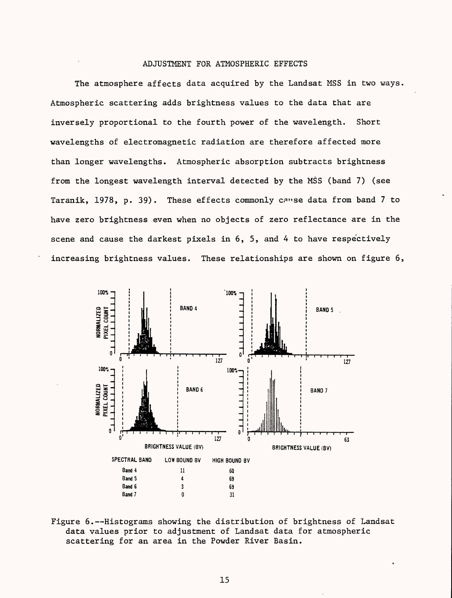### ADJUSTMENT FOR ATMOSPHERIC EFFECTS

The atmosphere affects data acquired by the Landsat MSS in two ways. Atmospheric scattering adds brightness values to the data that are inversely proportional to the fourth power of the wavelength. Short wavelengths of electromagnetic radiation are therefore affected more than longer wavelengths. Atmospheric absorption subtracts brightness from the longest wavelength interval detected by the MSS (band 7) (see Taranik, 1978, p. 39). These effects commonly cause data from band 7 to have zero brightness even when no objects of zero reflectance are in the scene and cause the darkest pixels in 6, 5, and 4 to have respectively increasing brightness values. These relationships are shown on figure 6,



Figure 6.--Histograms showing the distribution of brightness of Landsat data values prior to adjustment of Landsat data for atmospheric scattering for an area in the Powder River Basin.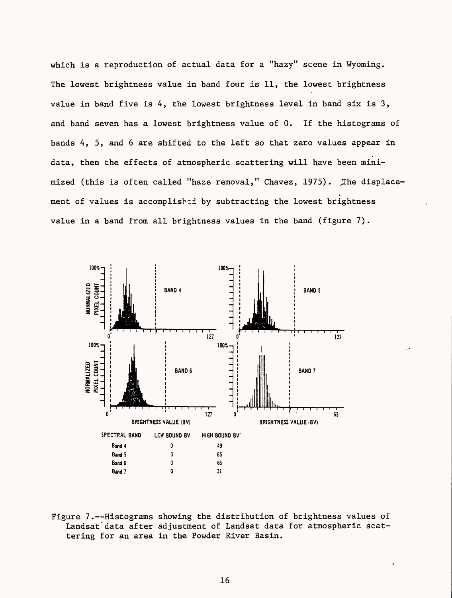which is a reproduction of actual data for a "hazy" scene in Wyoming. The lowest brightness value in band four is 11, the lowest brightness value in band five is 4, the lowest brightness level in band six is 3, and band seven has a lowest brightness value of 0. If the histograms of bands 4, 5, and 6 are shifted to the left so that zero values appear in data, then the effects of atmospheric scattering will have been minimized (this is often called "haze removal," Chavez, 1975). The displacement of values is accomplished by subtracting the lowest brightness value in a band from all brightness values in the band (figure 7).



Figure 7.--Histograms showing the distribution of brightness values of Landsat'data after adjustment of Landsat data for atmospheric scattering for an area in the Powder River Basin.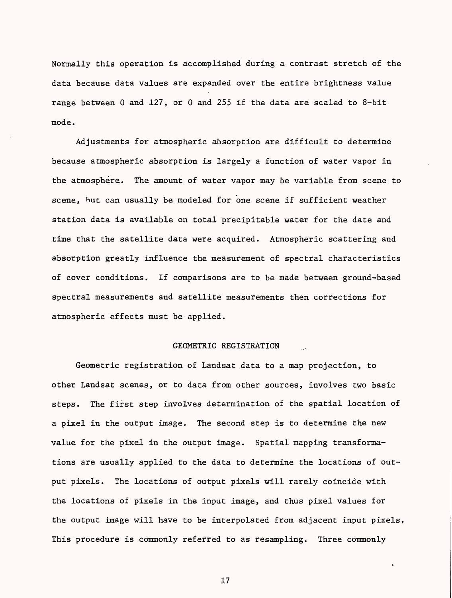Normally this operation is accomplished during a contrast stretch of the data because data values are expanded over the entire brightness value range between 0 and 127, or 0 and 255 if the data are scaled to 8-bit mode.

Adjustments for atmospheric absorption are difficult to determine because atmospheric absorption is largely a function of water vapor in the atmosphere. The amount of water vapor may be variable from scene to scene, but can usually be modeled for one scene if sufficient weather station data is available on total precipitable water for the date and time that the satellite data were acquired. Atmospheric scattering and absorption greatly influence the measurement of spectral characteristics of cover conditions. If comparisons are to be made between ground-based spectral measurements and satellite measurements then corrections for atmospheric effects must be applied.

#### GEOMETRIC REGISTRATION

Geometric registration of Landsat data to a map projection, to other Landsat scenes, or to data from other sources, involves two basic steps. The first step involves determination of the spatial location of a pixel in the output image. The second step is to determine the new value for the pixel in the output image. Spatial mapping transformations are usually applied to the data to determine the locations of output pixels. The locations of output pixels will rarely coincide with the locations of pixels in the input image, and thus pixel values for the output image will have to be interpolated from adjacent input pixels, This procedure is commonly referred to as resampling. Three commonly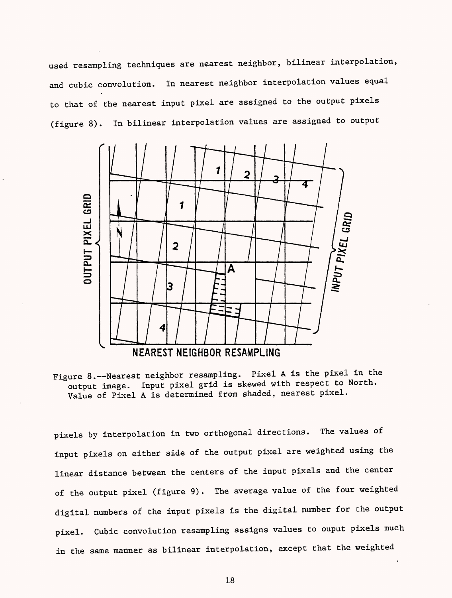used resampling techniques are nearest neighbor, bilinear interpolation, and cubic convolution. In nearest neighbor interpolation values equal to that of the nearest input pixel are assigned to the output pixels (figure 8). In bilinear interpolation values are assigned to output



Figure 8.--Nearest neighbor resampling. Pixel A is the pixel in the output image. Input pixel grid is skewed with respect to North. Value of Pixel A is determined from shaded, nearest pixel.

pixels by interpolation in two orthogonal directions. The values of input pixels on either side of the output pixel are weighted using the linear distance between the centers of the input pixels and the center of the output pixel (figure 9). The average value of the four weighted digital numbers of the input pixels is the digital number for the output pixel. Cubic convolution resampling assigns values to ouput pixels much in the same manner as bilinear interpolation, except that the weighted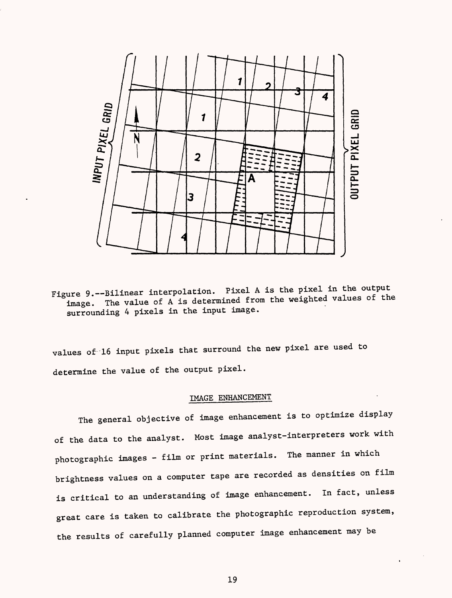

Figure 9.--Bilinear interpolation. Pixel A is the pixel in the output image. The value of A is determined from the weighted values of the surrounding 4 pixels in the input image.

values of 16 input pixels that surround the new pixel are used to determine the value of the output pixel.

# IMAGE ENHANCEMENT

The general objective of image enhancement is to optimize display of the data to the analyst. Most image analyst-interpreters work with photographic images - film or print materials. The manner in which brightness values on a computer tape are recorded as densities on film is critical to an understanding of image enhancement. In fact, unless great care is taken to calibrate the photographic reproduction system, the results of carefully planned computer image enhancement may be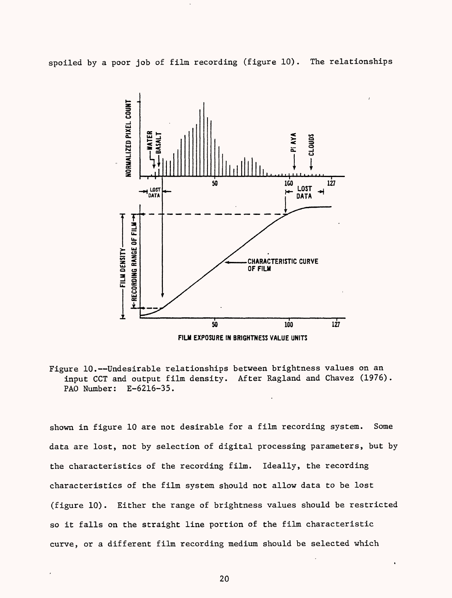spoiled by a poor job of film recording (figure 10). The relationships



Figure 10.--Undesirable relationships between brightness values on an input CCT and output film density. After Ragland and Chavez (1976). PAO Number: E-6216-35.

shown in figure 10 are not desirable for a film recording system. Some data are lost, not by selection of digital processing parameters, but by the characteristics of the recording film. Ideally, the recording characteristics of the film system should not allow data to be lost (figure 10). Either the range of brightness values should be restricted so it falls on the straight line portion of the film characteristic curve, or a different film recording medium should be selected which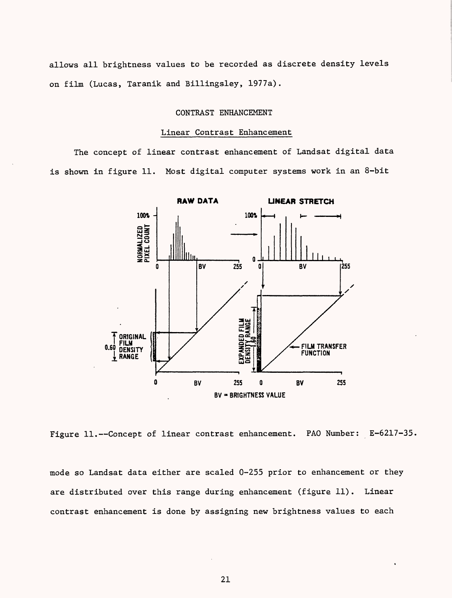allows all brightness values to be recorded as discrete density levels on film (Lucas, Taranik and Billingsley, 1977a).

### CONTRAST ENHANCEMENT

### Linear Contrast Enhancement

The concept of linear contrast enhancement of Landsat digital data is shown in figure 11. Most digital computer systems work in an 8-bit



Figure 11.--Concept of linear contrast enhancement. PAO Number: E-6217-35.

mode so Landsat data either are scaled 0-255 prior to enhancement or they are distributed over this range during enhancement (figure 11). Linear contrast enhancement is done by assigning new brightness values to each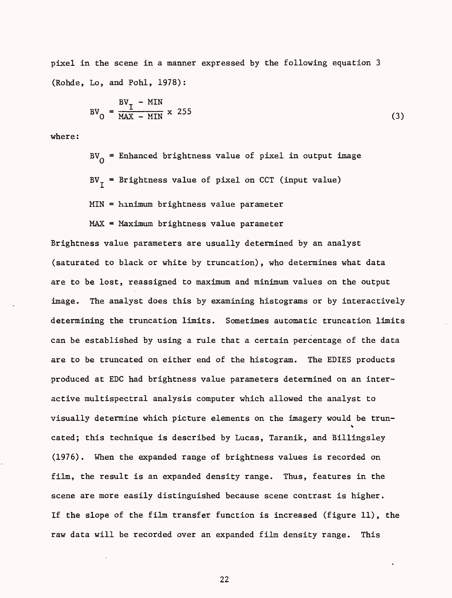pixel in the scene in a manner expressed by the following equation 3 (Rohde, Lo, and Pohl, 1978):

$$
BV_0 = \frac{BV_1 - MIN}{MAX - MIN} \times 255
$$
 (3)

where:

BV<sub>O</sub> = Enhanced brightness value of pixel in output image  $BV_{\tau}$  = Brightness value of pixel on CCT (input value)  $MIN =$   $Minimum$  brightness value parameter

MAX = Maximum brightness value parameter

Brightness value parameters are usually determined by an analyst (saturated to black or white by truncation), who determines what data are to be lost, reassigned to maximum and minimum values on the output image. The analyst does this by examining histograms or by interactively determining the truncation limits. Sometimes automatic truncation limits can be established by using a rule that a certain percentage of the data are to be truncated on either end of the histogram. The EDIES products produced at EDC had brightness value parameters determined on an interactive multispectral analysis computer which allowed the analyst to visually determine which picture elements on the imagery would be trun-V cated; this technique is described by Lucas, Taranik, and Billingsley (1976). When the expanded range of brightness values is recorded on film, the result is an expanded density range. Thus, features in the scene are more easily distinguished because scene contrast is higher. If the slope of the film transfer function is increased (figure 11), the raw data will be recorded over an expanded film density range. This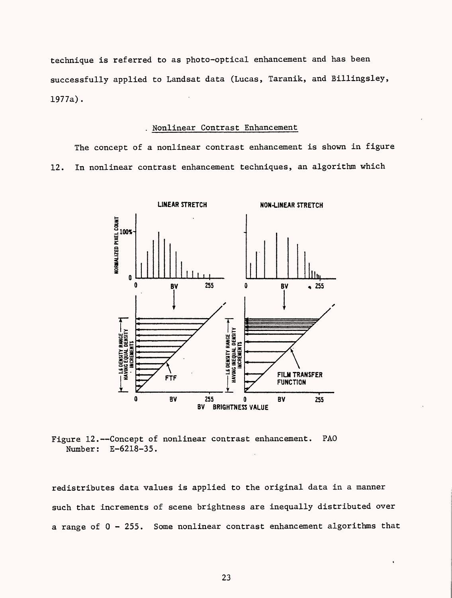technique is referred to as photo-optical enhancement and has been successfully applied to Landsat data (Lucas, Taranik, and Billingsley, 1977a).

### Nonlinear Contrast Enhancement

The concept of a nonlinear contrast enhancement is shown in figure 12. In nonlinear contrast enhancement techniques, an algorithm which



Figure 12.--Concept of nonlinear contrast enhancement. PAO Number: E-6218-35.

redistributes data values is applied to the original data in a manner such that increments of scene brightness are inequally distributed over a range of 0 - 255. Some nonlinear contrast enhancement algorithms that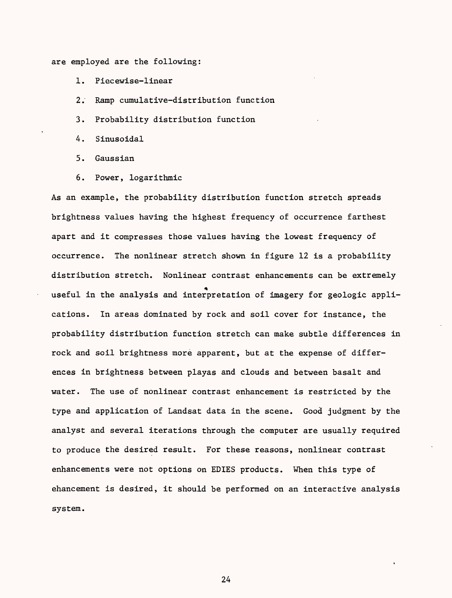are employed are the following:

- 1. Piecewise-linear
- 2. Ramp cumulative-distribution function
- 3. Probability distribution function
- 4. Sinusoidal
- 5. Gaussian
- 6. Power, logarithmic

As an example, the probability distribution function stretch spreads brightness values having the highest frequency of occurrence farthest apart and it compresses those values having the lowest frequency of occurrence. The nonlinear stretch shown in figure 12 is a probability distribution stretch. Nonlinear contrast enhancements can be extremely \* useful in the analysis and interpretation of imagery for geologic applications. In areas dominated by rock and soil cover for instance, the probability distribution function stretch can make subtle differences in rock and soil brightness more apparent, but at the expense of differences in brightness between playas and clouds and between basalt and water. The use of nonlinear contrast enhancement is restricted by the type and application of Landsat data in the scene. Good judgment by the analyst and several iterations through the computer are usually required to produce the desired result. For these reasons, nonlinear contrast enhancements were not options on EDIES products. When this type of ehancement is desired, it should be performed on an interactive analysis system.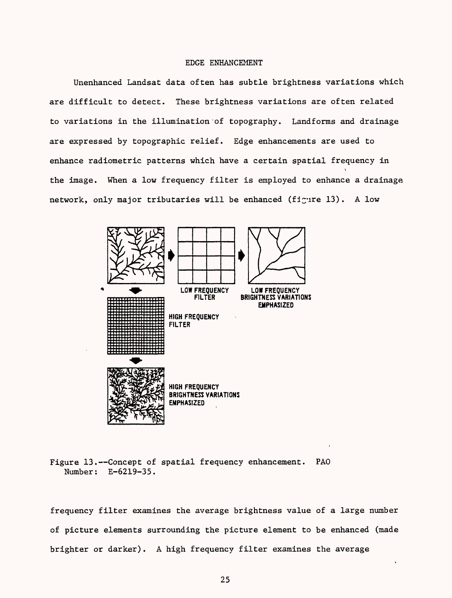#### EDGE ENHANCEMENT

Unenhanced Landsat data often has subtle brightness variations which are difficult to detect. These brightness variations are often related to variations in the illumination of topography. Landforms and drainage are expressed by topographic relief. Edge enhancements are used to enhance radiometric patterns which have a certain spatial frequency in V the image. When a low frequency filter is employed to enhance a drainage network, only major tributaries will be enhanced (figure 13). A low



Figure 13.--Concept of spatial frequency enhancement. PAO Number: E-6219-35.

frequency filter examines the average brightness value of a large number of picture elements surrounding the picture element to be enhanced (made brighter or darker). A high frequency filter examines the average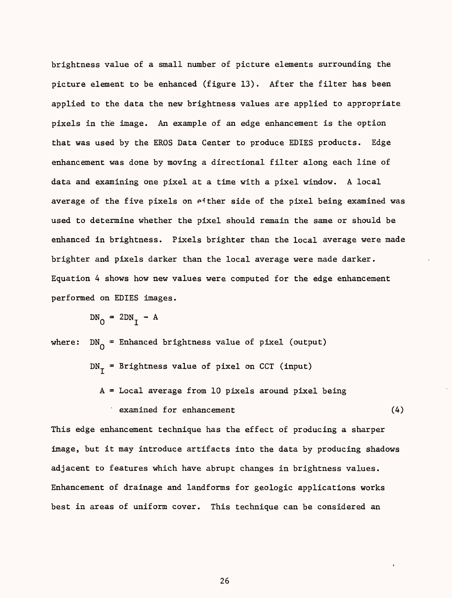brightness value of a small number of picture elements surrounding the picture element to be enhanced (figure 13). After the filter has been applied to the data the new brightness values are applied to appropriate pixels in the image. An example of an edge enhancement is the option that was used by the EROS Data Center to produce EDIES products. Edge enhancement was done by moving a directional filter along each line of data and examining one pixel at a time with a pixel window. A local average of the five pixels on either side of the pixel being examined was used to determine whether the pixel should remain the same or should be enhanced in brightness. Pixels brighter than the local average were made brighter and pixels darker than the local average were made darker. Equation 4 shows how new values were computed for the edge enhancement performed on EDIES images.

$$
DN_0 = 2DN_T - A
$$

where:  $DN_0$  = Enhanced brightness value of pixel (output)  $DN_{\tau}$  = Brightness value of pixel on CCT (input)  $A = Local$  average from 10 pixels around pixel being examined for enhancement (4) (4)

This edge enhancement technique has the effect of producing a sharper image, but it may introduce artifacts into the data by producing shadows adjacent to features which have abrupt changes in brightness values. Enhancement of drainage and landforms for geologic applications works best in areas of uniform cover. This technique can be considered an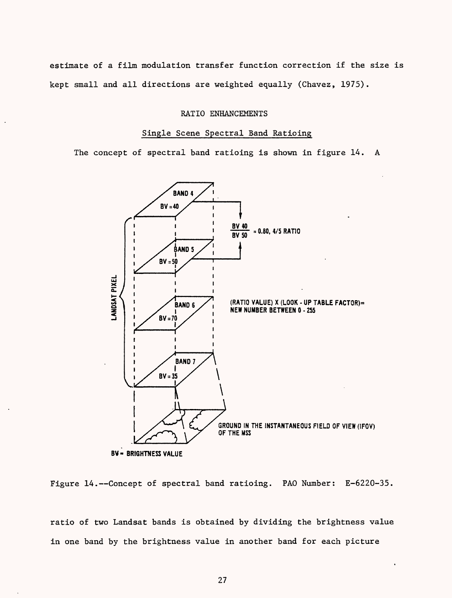estimate of a film modulation transfer function correction if the size is kept small and all directions are weighted equally (Chavez, 1975).

### RATIO ENHANCEMENTS

### Single Scene Spectral Band Ratioing

The concept of spectral band ratioing is shown in figure 14. A



Figure  $14$ .--Concept of spectral band ratioing. PAO Number:  $E-6220-35$ .

ratio of two Landsat bands is obtained by dividing the brightness value in one band by the brightness value in another band for each picture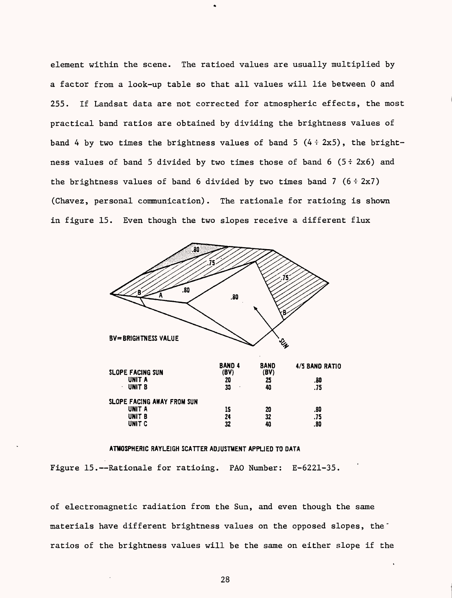element within the scene. The ratioed values are usually multiplied by a factor from a look-up table so that all values will lie between 0 and 255. If Landsat data are not corrected for atmospheric effects, the most practical band ratios are obtained by dividing the brightness values of band 4 by two times the brightness values of band 5  $(4 \div 2x5)$ , the brightness values of band 5 divided by two times those of band  $6(5 \div 2x6)$  and the brightness values of band 6 divided by two times band 7  $(6 \div 2x7)$ (Chavez, personal communication). The rationale for ratioing is shown in figure 15. Even though the two slopes receive a different flux



### ATMOSPHERIC RAYLEIGH SCATTER ADJUSTMENT APPUED TO DATA

Figure 15.--Rationale for ratioing. PAO Number: E-6221-35.

of electromagnetic radiation from the Sun, and even though the same materials have different brightness values on the opposed slopes, the ratios of the brightness values will be the same on either slope if the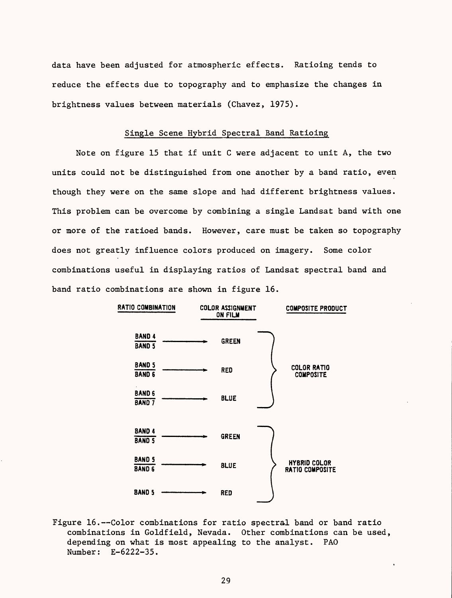data have been adjusted for atmospheric effects. Ratioing tends to reduce the effects due to topography and to emphasize the changes in brightness values between materials (Chavez, 1975).

### Single Scene Hybrid Spectral Band Ratioing

Note on figure 15 that if unit C were adjacent to unit A, the two units could not be distinguished from one another by a band ratio, even though they were on the same slope and had different brightness values. This problem can be overcome by combining a single Landsat band with one or more of the ratioed bands. However, care must be taken so topography does not greatly influence colors produced on imagery. Some color combinations useful in displaying ratios of Landsat spectral band and band ratio combinations are shown in figure 16.



Figure 16.--Color combinations for ratio spectral band or band ratio combinations in Goldfield, Nevada. Other combinations can be used, depending on what is most appealing to the analyst. PAO Number: E-6222-35.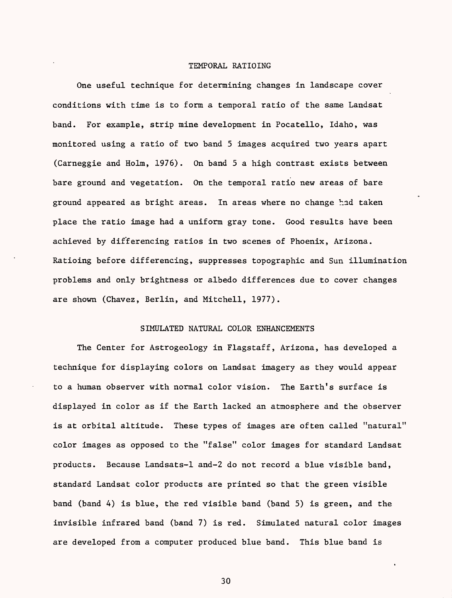### TEMPORAL RATIOING

One useful technique for determining changes in landscape cover conditions with time is to form a temporal ratio of the same Landsat band. For example, strip mine development in Pocatello, Idaho, was monitored using a ratio of two band 5 images acquired two years apart (Carneggie and Holm, 1976). On band 5 a high contrast exists between bare ground and vegetation. On the temporal ratio new areas of bare ground appeared as bright areas. In areas where no change had taken place the ratio image had a uniform gray tone. Good results have been achieved by dif'ferencing ratios in two scenes of Phoenix, Arizona. Ratioing before differencing, suppresses topographic and Sun illumination problems and only brightness or albedo differences due to cover changes are shown (Chavez, Berlin, and Mitchell, 1977).

### SIMULATED NATURAL COLOR ENHANCEMENTS

The Center for Astrogeology in Flagstaff, Arizona, has developed a technique for displaying colors on Landsat imagery as they would appear to a human observer with normal color vision. The Earth's surface is displayed in color as if the Earth lacked an atmosphere and the observer is at orbital altitude. These types of images are often called "natural" color images as opposed to the "false" color images for standard Landsat products. Because Landsats-1 and-2 do not record a blue visible band, standard Landsat color products are printed so that the green visible band (band 4) is blue, the red visible band (band 5) is green, and the invisible infrared band (band 7) is red. Simulated natural color images are developed from a computer produced blue band. This blue band is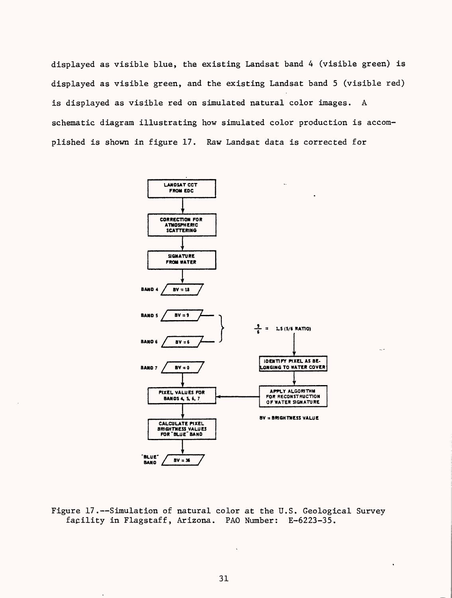displayed as visible blue, the existing Landsat band 4 (visible green) is displayed as visible green, and the existing Landsat band 5 (visible red) is displayed as visible red on simulated natural color images. A schematic diagram illustrating how simulated color production is accomplished is shown in figure 17. Raw Landsat data is corrected for



u,

Figure 17.--Simulation of natural color at the U.S. Geological Survey facility in Flagstaff, Arizona. PAD Number: E-6223-35.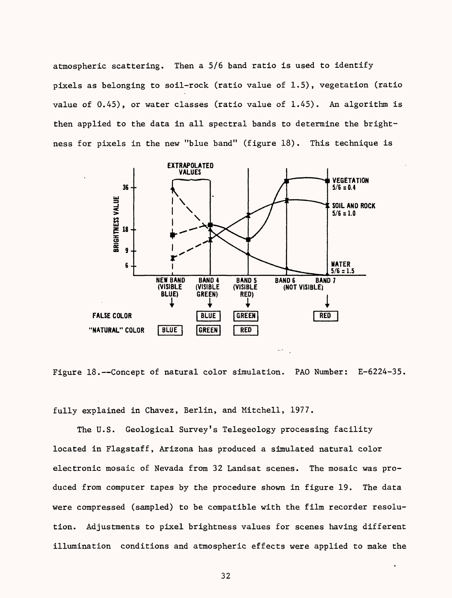atmospheric scattering. Then a 5/6 band ratio is used to identify pixels as belonging to soil-rock (ratio value of 1.5), vegetation (ratio value of 0.45), or water classes (ratio value of 1.45). An algorithm is then applied to the data in all spectral bands to determine the brightness for pixels in the new "blue band" (figure 18). This technique is



Figure 18.--Concept of natural color simulation. PAO Number: E-6224-35.

fully explained in Chavez, Berlin, and Mitchell, 1977.

The U.S. Geological Survey's Telegeology processing facility located in Flagstaff, Arizona has produced a simulated natural color electronic mosaic of Nevada from 32 Landsat scenes. The mosaic was produced from computer tapes by the procedure shown in figure 19. The data were compressed (sampled) to be compatible with the film recorder resolution. Adjustments to pixel brightness values for scenes having different illumination conditions and atmospheric effects were applied to make the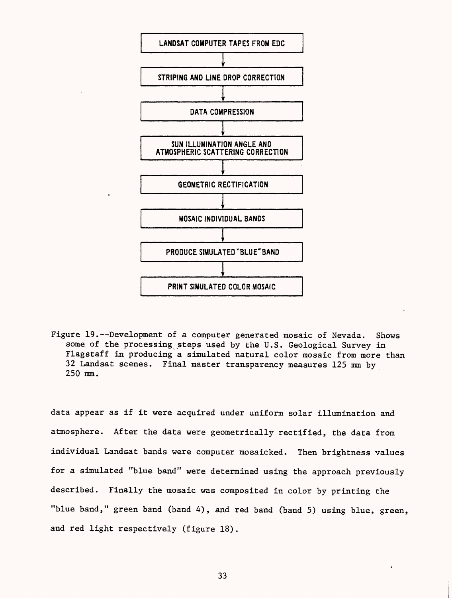

Figure 19.--Development of a computer generated mosaic of Nevada. Shows some of the processing steps used by the U.S. Geological Survey in Flagstaff in producing a simulated natural color mosaic from more than 32 Landsat scenes. Final master transparency measures 125 mm by 250 ram.

data appear as if it were acquired under uniform solar illumination and atmosphere. After the data were geometrically rectified, the data from individual Landsat bands were computer mosaicked. Then brightness values for a simulated "blue band" were determined using the approach previously described. Finally the mosaic was composited in color by printing the "blue band," green band (band 4), and red band (band 5) using blue, green, and red light respectively (figure 18).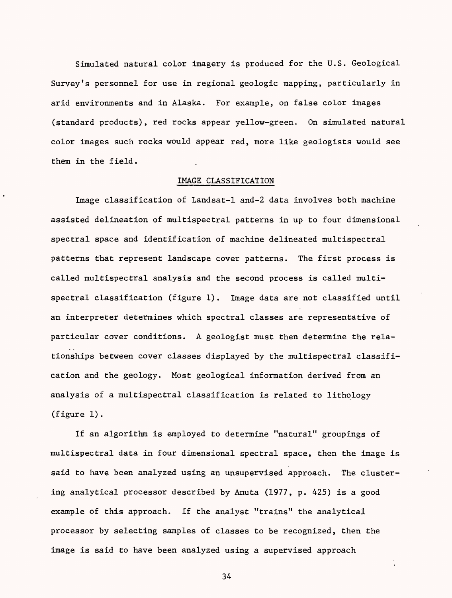Simulated natural color imagery is produced for the U.S. Geological Survey's personnel for use in regional geologic mapping, particularly in arid environments and in Alaska. For example, on false color images (standard products), red rocks appear yellow-green. On simulated natural color images such rocks would appear red, more like geologists would see them in the field.

### IMAGE CLASSIFICATION

Image classification of Landsat-1 and-2 data involves both machine assisted delineation of multispectral patterns in up to four dimensional spectral space and identification of machine delineated multispectral patterns that represent landscape cover patterns. The first process is called multispectral analysis and the second process is called multispectral classification (figure 1). Image data are not classified until an interpreter determines which spectral classes are representative of particular cover conditions. A geologist must then determine the relationships between cover classes displayed by the multispectral classification and the geology. Most geological information derived from an analysis of a multispectral classification is related to lithology (figure 1).

If an algorithm is employed to determine "natural" groupings of multispectral data in four dimensional spectral space, then the image is said to have been analyzed using an unsupervised approach. The clustering analytical processor described by Anuta (1977, p. 425) is a good example of this approach. If the analyst "trains" the analytical processor by selecting samples of classes to be recognized, then the image is said to have been analyzed using a supervised approach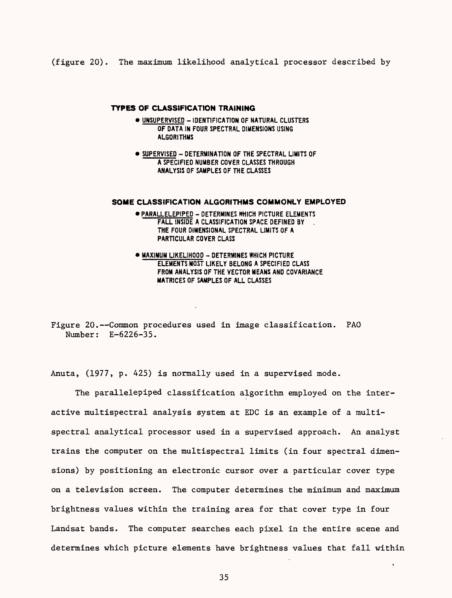(figure 20). The maximum likelihood analytical processor described by

### **TYPES OF CLASSIFICATION TRAINING**

- UNSUPERVISED IDENTIFICATION OF NATURAL CLUSTERS OF DATA IN FOUR SPECTRAL DIMENSIONS USING **ALGORITHMS**
- $\bullet$  SUPERVISED DETERMINATION OF THE SPECTRAL LIMITS OF A SPECIFIED NUMBER COVER CLASSES THROUGH ANALYSIS OF SAMPLES OF THE CLASSES

#### **SOME CLASSIFICATION ALGORITHMS COMMONLY EMPLOYED**

- PARALLELEPIPED DETERMINES WHICH PICTURE ELEMENTS FALL INSIDE A CLASSIFICATION SPACE DEFINED BY THE FOUR DIMENSIONAL SPECTRAL LIMITS OF A PARTICULAR COVER CLASS
- $\bullet$  MAXIMUM LIKELIHOOD DETERMINES WHICH PICTURE ELEMENTS MOST LIKELY BELONG A SPECIFIED CLASS FROM ANALYSIS OF THE VECTOR MEANS AND COVARIANCE MATRICES OF SAMPLES OF ALL CLASSES

Figure 20.--Common procedures used in image classification. PAO Number: E-6226-35.

Anuta, (1977, p. 425) is normally used in a supervised mode.

The parallelepiped classification algorithm employed on the interactive multispectral analysis system at EDC is an example of a multispectral analytical processor used in a supervised approach. An analyst trains the computer on the multispectral limits (in four spectral dimensions) by positioning an electronic cursor over a particular cover type on a television screen. The computer determines the minimum and maximum brightness values within the training area for that cover type in four Landsat bands. The computer searches each pixel in the entire scene and determines which picture elements have brightness values that fall within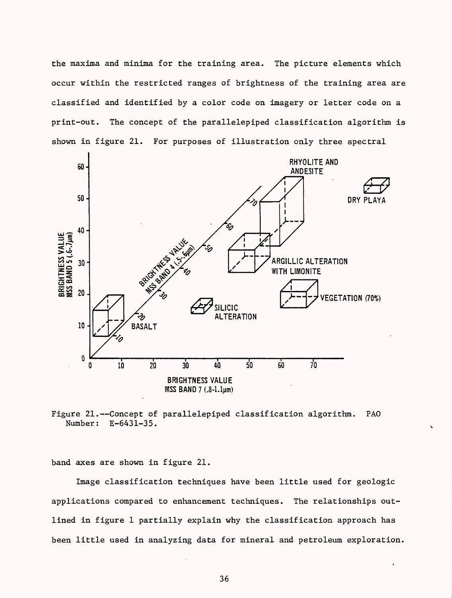the maxima and minima for the training area. The picture elements which occur within the restricted ranges of brightness of the training area are classified and identified by a color code on imagery or letter code on a print-out. The concept of the parallelepiped classification algorithm is shown in figure 21. For purposes of illustration only three spectral



Figure 21.--Concept of parallelepiped classification algorithm. PAO Number: E-6431-35.

band axes are shown in figure 21.

Image classification techniques have been little used for geologic applications compared to enhancement techniques. The relationships outlined in figure 1 partially explain why the classification approach has been little used in analyzing data for mineral and petroleum exploration.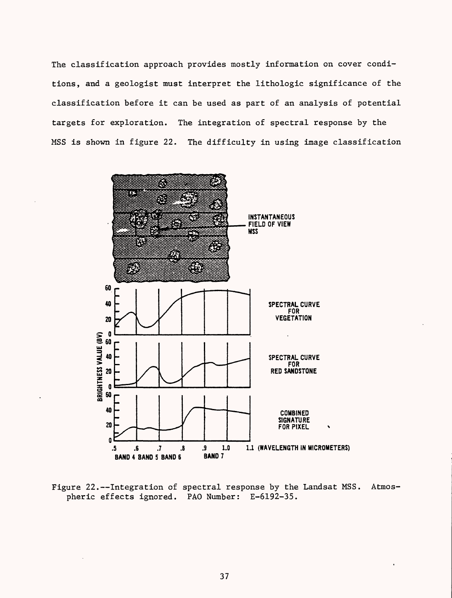The classification approach provides mostly information on cover conditions, and a geologist must interpret the lithologic significance of the classification before it can be used as part of an analysis of potential targets for exploration. The integration of spectral response by the MSS is shown in figure 22. The difficulty in using image classification



Figure 22.--Integration of spectral response by the Landsat MSS. Atmospheric effects ignored. PAO Number: E-6192-35.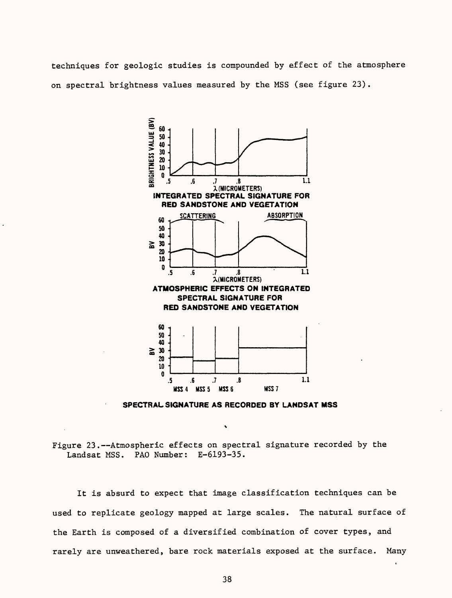techniques for geologic studies is compounded by effect of the atmosphere on spectral brightness values measured by the MSS (see figure 23).



**SPECTRAL SIGNATURE AS RECORDED BY LANDSAT MSS**

Figure 23.--Atmospheric effects on spectral signature recorded by the Landsat MSS. PAD Number: E-6193-35.

It is absurd to expect that image classification techniques can be used to replicate geology mapped at large scales. The natural surface of the Earth is composed of a diversified combination of cover types, and rarely are unweathered, bare rock materials exposed at the surface. Many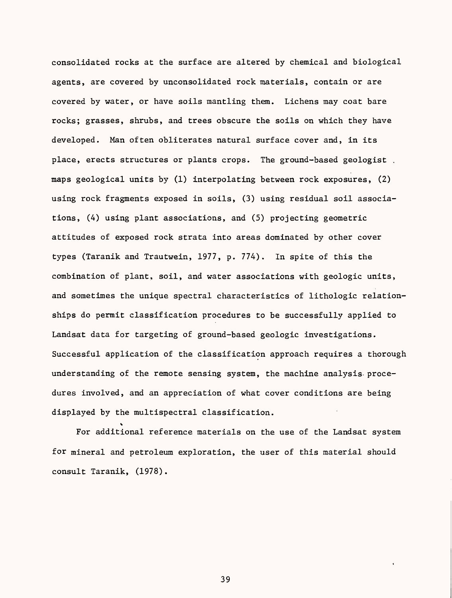consolidated rocks at the surface are altered by chemical and biological agents, are covered by unconsolidated rock materials, contain or are covered by water, or have soils mantling them. Lichens may coat bare rocks; grasses, shrubs, and trees obscure the soils on which they have developed. Man often obliterates natural surface cover and, in its place, erects structures or plants crops. The ground-based geologist . maps geological units by (1) interpolating between rock exposures, (2) using rock fragments exposed in soils, (3) using residual soil associations, (4) using plant associations, and (5) projecting geometric attitudes of exposed rock strata into areas dominated by other cover types (Taranik and Trautwein, 1977, p. 774). In spite of this the combination of plant, soil, and water associations with geologic units, and sometimes the unique spectral characteristics of lithologic relationships do permit classification procedures to be successfully applied to Landsat data for targeting of ground-based geologic investigations. Successful application of the classification approach requires a thorough understanding of the remote sensing system, the machine analysis- procedures involved, and an appreciation of what cover conditions are being displayed by the multispectral classification.

% For additional reference materials on the use of the Landsat system for mineral and petroleum exploration, the user of this material should consult Taranik, (1978).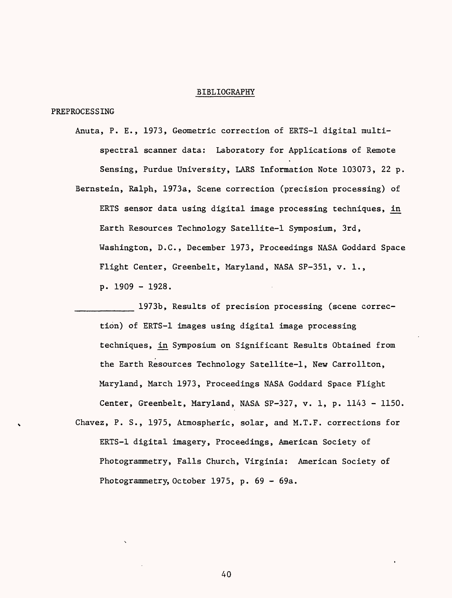### BIBLIOGRAPHY

PREPROCESSING

- Anuta, P. E., 1973, Geometric correction of ERTS-1 digital multispectral scanner data: Laboratory for Applications of Remote Sensing, Purdue University, LARS Information Note 103073, 22 p. Bernstein, Ralph, 1973a, Scene correction (precision processing) of
	- ERTS sensor data using digital image processing techniques, in Earth Resources Technology Satellite-1 Symposium, 3rd, Washington, D.C., December 1973, Proceedings NASA Goddard Space Flight Center, Greenbelt, Maryland, NASA SP-351, v. 1., p. 1909 - 1928.

1973b, Results of precision processing (scene correction) of ERTS-1 images using digital image processing techniques, in Symposium on Significant Results Obtained from the Earth Resources Technology Satellite-1, New Carrollton, Maryland, March 1973, Proceedings NASA Goddard Space Flight Center, Greenbelt, Maryland, NASA SP-327, v. 1, p. 1143 - 1150.

Chavez, P. S., 1975, Atmospheric, solar, and M.T.F. corrections for ERTS-1 digital imagery, Proceedings, American Society of Photogrammetry, Falls Church, Virginia: American Society of Photogrammetry, October 1975, p. 69 - 69a.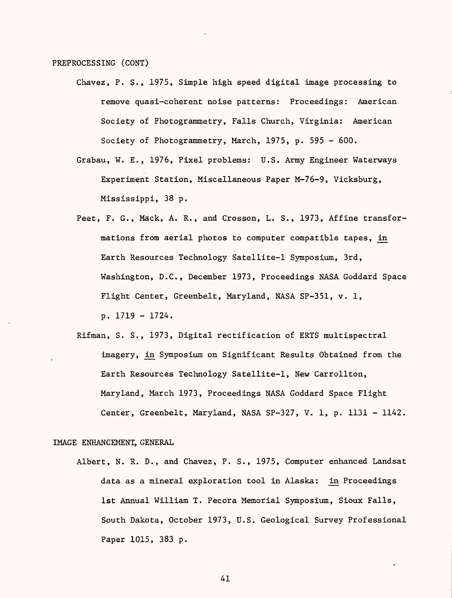PREPROCESSING (CONT)

- Chavez, P. S., 1975, Simple high speed digital image processing to remove quasi-coherent noise patterns: Proceedings: American Society of Photogrammetry, Falls Church, Virginia: American Society of Photogrammetry, March, 1975, p. 595 - 600.
- Grabau, W. E., 1976, Pixel problems: U.S. Army Engineer Waterways Experiment Station, Miscellaneous Paper M-76-9, Vicksburg, Mississippi, 38 p.
- Peet, F. G., Mack, A. R., and Crosson, L. S., 1973, Affine transformations from aerial photos to computer compatible tapes, in Earth Resources Technology Satellite-1 Symposium, 3rd, Washington, D.C., December 1973, Proceedings NASA Goddard Space Flight Center, Greenbelt, Maryland, NASA SP-351, v. 1, p. 1719 - 1724.
- Rifman, S. S., 1973, Digital rectification of ERTS multispectral imagery, in Symposium on Significant Results Obtained from the Earth Resources Technology Satellite-1, New Carrollton, Maryland, March 1973, Proceedings NASA Goddard Space Flight Center, Greenbelt, Maryland, NASA SP-327, V. 1, p. 1131 - 1142.

#### IMAGE ENHANCEMENT, GENERAL

Albert, N. R. D., and Chavez, P. S., 1975, Computer enhanced Landsat data as a mineral exploration tool in Alaska: in Proceedings 1st Annual William T. Pecora Memorial Symposium, Sioux Falls, South Dakota, October 1973, U.S. Geological Survey Professional Paper 1015, 383 p.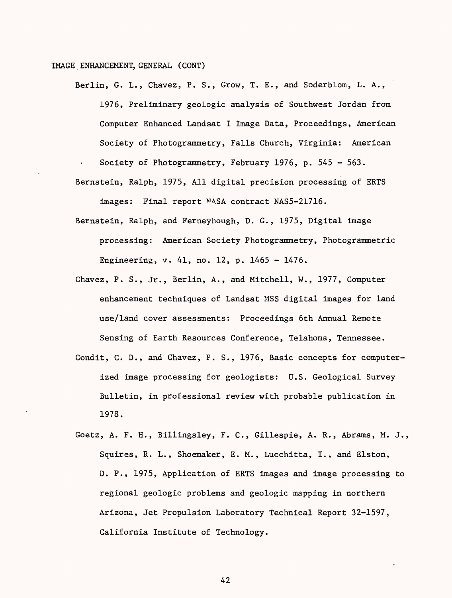### IMAGE, ENHANCEMENT, GENERAL (CONT)

- Berlin, G. L., Chavez, P. S., Grow, T. E., and Soderblom, L. A., 1976, Preliminary geologic analysis of Southwest Jordan from Computer Enhanced Landsat I Image Data, Proceedings, American Society of Photogrammetry, Falls Church, Virginia: American Society of Photogrammetry, February 1976, p. 545 - 563.
- Bernstein, Ralph, 1975, All digital precision processing of ERTS images: Final report NASA contract NAS5-21716.
- Bernstein, Ralph, and Ferneyhough, D. G., 1975, Digital image processing: American Society Photogrammetry, Photogrammetric Engineering, v. 41, no. 12, p. 1465 - 1476.
- Chavez, P. S., Jr., Berlin, A., and Mitchell, W., 1977, Computer enhancement techniques of Landsat MSS digital images for land use/land cover assessments: Proceedings 6th Annual Remote Sensing of Earth Resources Conference, Telahoma, Tennessee.
- Condit, C. D., and Chavez, P. S., 1976, Basic concepts for computerized image processing for geologists: U.S. Geological Survey Bulletin, in professional review with probable publication in 1978.
- Goetz, A. F. H., Billingsley, F. C., Gillespie, A. R., Abrams, M. J., Squires, R. L., Shoemaker, E. M., Lucchitta, I., and Elston, D. P., 1975, Application of ERTS images and image processing to regional geologic problems and geologic mapping in northern Arizona, Jet Propulsion Laboratory Technical Report 32-1597, California Institute of Technology.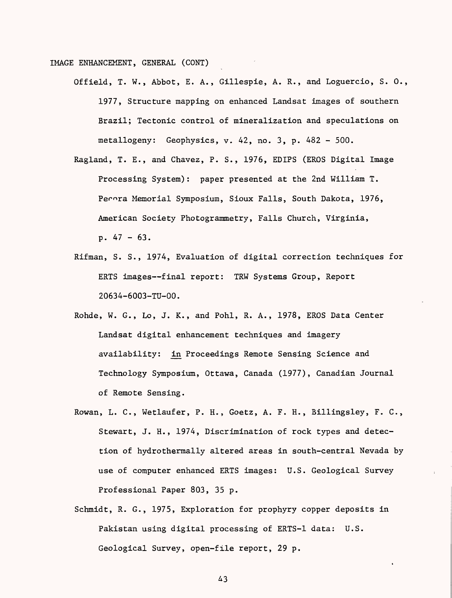IMAGE ENHANCEMENT, GENERAL (CONT)

- Offield, T. W., Abbot, E. A., Gillespie, A. R., and Loguercio, S. 0., 1977, Structure mapping on enhanced Landsat images of southern Brazil; Tectonic control of mineralization and speculations on metallogeny: Geophysics, v. 42, no. 3, p. 482 - 500.
- Ragland, T. E., and Chavez, P. S., 1976, EDIPS (EROS Digital Image Processing System): paper presented at the 2nd William T. Perora Memorial Symposium, Sioux Falls, South Dakota, 1976, American Society Photogrammetry, Falls Church, Virginia, p. 47 - 63.
- Rifman, S. S., 1974, Evaluation of digital correction techniques for ERTS images--final report: TRW Systems Group, Report 20634-6003-TU-OO.
- Rohde, W. G., Lo, J. K., and Pohl, R. A., 1978, EROS Data Center Landsat digital enhancement techniques and imagery availability: in Proceedings Remote Sensing Science and Technology Symposium, Ottawa, Canada (1977), Canadian Journal of Remote Sensing.
- Rowan, L. C., Wetlaufer, P. H., Goetz, A. F. H., Billingsley, F. C., Stewart, J. H., 1974, Discrimination of rock types and detection of hydrothermally altered areas in south-central Nevada by use of computer enhanced ERTS images: U.S. Geological Survey Professional Paper 803, 35 p.
- Schmidt, R. G., 1975, Exploration for prophyry copper deposits in Pakistan using digital processing of ERTS-1 data: U.S. Geological Survey, open-file report, 29 p.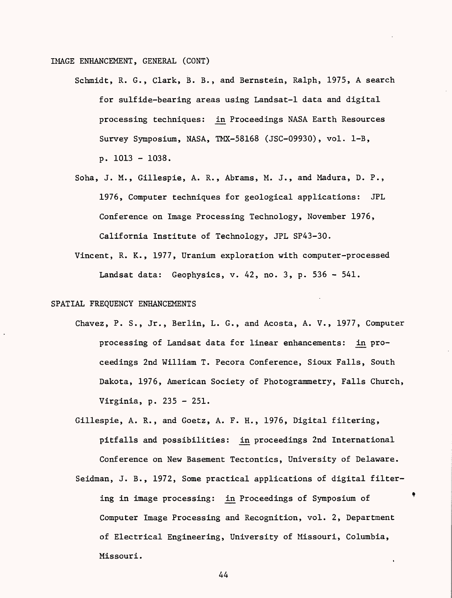IMAGE ENHANCEMENT, GENERAL (CONT)

- Schmidt, R. G., Clark, B. B., and Bernstein, Ralph, 1975, A search for sulfide-bearing areas using Landsat-1 data and digital processing techniques: in Proceedings NASA Earth Resources Survey Symposium, NASA, TMX-58168 (JSC-09930), vol. 1-B, p. 1013 - 1038.
- Soha, J. M., Gillespie, A. R., Abrams, M. J., and Madura, D. P., 1976, Computer techniques for geological applications: JPL Conference on Image Processing Technology, November 1976, California Institute of Technology, JPL SP43-30.
- Vincent, R. K., 1977, Uranium exploration with computer-processed Landsat data: Geophysics, v. 42, no. 3, p. 536 - 541.

### SPATIAL FREQUENCY ENHANCEMENTS

- Chavez, P. S., Jr., Berlin, L. G., and Acosta, A. V., 1977, Computer processing of Landsat data for linear enhancements: in proceedings 2nd William T. Pecora Conference, Sioux Falls, South Dakota, 1976, American Society of Photogrammetry, Falls Church, Virginia, p. 235 - 251.
- Gillespie, A. R., and Goetz, A. F. H., 1976, Digital filtering, pitfalls and possibilities: in proceedings 2nd International Conference on New Basement Tectontics, University of Delaware.
- Seidman, J. B., 1972, Some practical applications of digital filtering in image processing: in Proceedings of Symposium of Computer Image Processing and Recognition, vol. 2, Department of Electrical Engineering, University of Missouri, Columbia, Missouri.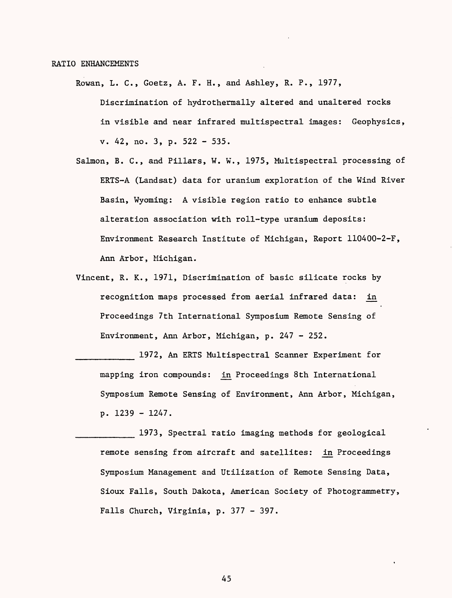#### RATIO ENHANCEMENTS

- Rowan, L. C., Goetz, A. F. H., and Ashley, R. P., 1977, Discrimination of hydrothermally altered and unaltered rocks in visible and near infrared multispectral images: Geophysics, v. 42, no. 3, p. 522 - 535.
- Salmon, B. C., and Pillars, W. W., 1975, Multispectral processing of ERTS-A (Landsat) data for uranium exploration of the Wind River Basin, Wyoming: A visible region ratio to enhance subtle alteration association with roll-type uranium deposits: Environment Research Institute of Michigan, Report 110400-2-F, Ann Arbor, Michigan.
- Vincent, R. K., 1971, Discrimination of basic silicate rocks by recognition maps processed from aerial infrared data: in Proceedings 7th International Symposium Remote Sensing of Environment, Ann Arbor, Michigan, p. 247 - 252.

1972, An ERTS Multispectral Scanner Experiment for mapping iron compounds: in Proceedings 8th International Symposium Remote Sensing of Environment, Ann Arbor, Michigan, p. 1239 - 1247.

\_\_\_\_\_\_\_\_\_ 1973, Spectral ratio imaging methods for geological remote sensing from aircraft and satellites: in Proceedings Symposium Management and Utilization of Remote Sensing Data, Sioux Falls, South Dakota, American Society of Photogrammetry, Falls Church, Virginia, p. 377 - 397.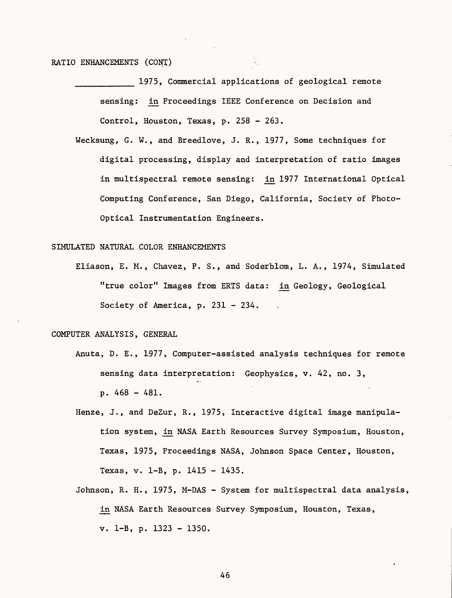## RATIO ENHANCEMENTS (CONT)

1975, Commercial applications of geological remote sensing: in Proceedings IEEE Conference on Decision and Control, Houston, Texas, p. 258 - 263.

Wecksung, G. W., and Breedlove, J. R., 1977, Some techniques for digital processing, display and interpretation of ratio images in multispectral remote sensing: in 1977 International Optical Computing Conference, San Diego, California, Society of Photo-Optical Instrumentation Engineers.

#### SIMULATED NATURAL COLOR ENHANCEMENTS

Eliason, E. M., Chavez, P. S., and Soderblom, L. A., 1974, Simulated "true color" Images from ERTS data: in Geology, Geological Society of America, p. 231 - 234.

### COMPUTER ANALYSIS, GENERAL

- Anuta, D. E., 1977, Computer-assisted analysis techniques for remote sensing data interpretation: Geophysics, v. 42, no. 3, p. 468 - 481.
- Henze, J., and DeZur, R., 1975, Interactive digital image manipulation system, in NASA Earth Resources Survey Symposium, Houston, Texas, 1975, Proceedings NASA, Johnson Space Center, Houston, Texas, v. 1-B, p. 1415 - 1435.
- Johnson, R. H., 1975, M-DAS System for multispectral data analysis, in NASA Earth Resources Survey Symposium, Houston, Texas, v. 1-B, p. 1323 - 1350.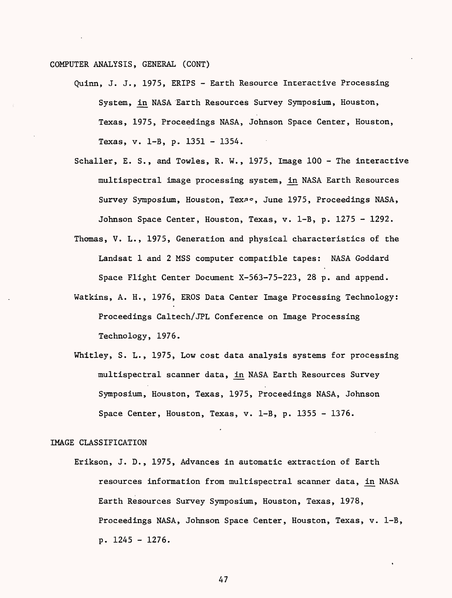COMPUTER ANALYSIS, GENERAL (CONT)

- Quinn, J. J., 1975, ERIPS Earth Resource Interactive Processing System, in NASA Earth Resources Survey Symposium, Houston, Texas, 1975, Proceedings NASA, Johnson Space Center, Houston, Texas, v. 1-B, p. 1351 - 1354.
- Schaller, E. S., and Towles, R. W., 1975, Image 100 The interactive multispectral image processing system, in NASA Earth Resources Survey Symposium, Houston, Texas, June 1975, Proceedings NASA, Johnson Space Center, Houston, Texas, v. 1-B, p. 1275 - 1292.
- Thomas, V. L., 1975, Generation and physical characteristics of the Landsat 1 and 2 MSS computer compatible tapes: NASA Goddard Space Flight Center Document X-563-75-223, 28 p. and append.
- Watkins, A. H., 1976, EROS Data Center Image Processing Technology: Proceedings Caltech/JPL Conference on Image Processing Technology, 1976.
- Whitley, S. L., 1975, Low cost data analysis systems for processing multispectral scanner data, in NASA Earth Resources Survey Symposium, Houston, Texas, 1975, Proceedings NASA, Johnson Space Center, Houston, Texas, v. 1-B, p. 1355 - 1376.

#### IMAGE CLASSIFICATION

Erikson, J. D., 1975, Advances in automatic extraction of Earth resources information from multispectral scanner data, in NASA Earth Resources Survey Symposium, Houston, Texas, 1978, Proceedings NASA, Johnson Space Center, Houston, Texas, v. 1-B, p. 1245 - 1276.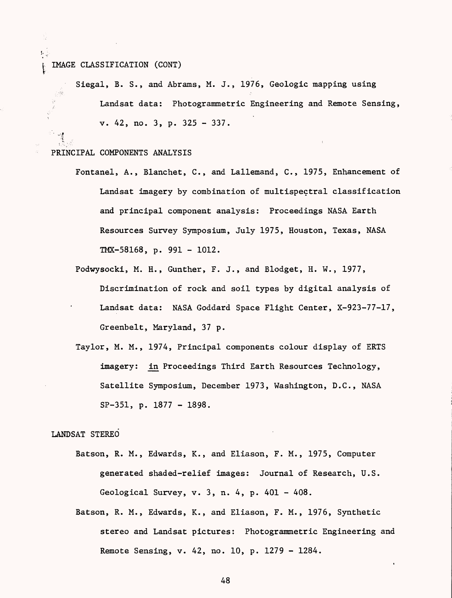### IMAGE CLASSIFICATION (CONT)

Siegal, B. S., and Abrams, M. J., 1976, Geologic mapping using Landsat data: Photogrammetric Engineering and Remote Sensing, v. 42, no. 3, p. 325 - 337.

#### PRINCIPAL COMPONENTS ANALYSIS

**' v=f** $\cdot$  .

- Fontanel, A., Blanchet, C., and Lallemand, C., 1975, Enhancement of Landsat imagery by combination of multispectral classification and principal component analysis: Proceedings NASA Earth Resources Survey Symposium, July 1975, Houston, Texas, NASA TMX-58168, p. 991 - 1012.
- Podwysocki, M. H., Gunther, F. J., and Blodget, H. W., 1977, Discrimination of rock and soil types by digital analysis of Landsat data: NASA Goddard Space Flight Center, X-923-77-17, Greenbelt, Maryland, 37 p.
- Taylor, M. M., 1974, Principal components colour display of ERTS imagery: in Proceedings Third Earth Resources Technology, Satellite Symposium, December 1973, Washington, D.C., NASA SP-351, p. 1877 - 1898.

### LANDSAT STEREO

- Batson, R. M., Edwards, K., and Eliason, F. M., 1975, Computer generated shaded-relief images: Journal of Research, U.S. Geological Survey, v. 3, n. 4, p. 401 - 408.
- Batson, R. M., Edwards, K., and Eliason, F. M., 1976, Synthetic stereo and Landsat pictures: Photogrammetric Engineering and Remote Sensing, v. 42, no. 10, p. 1279 - 1284.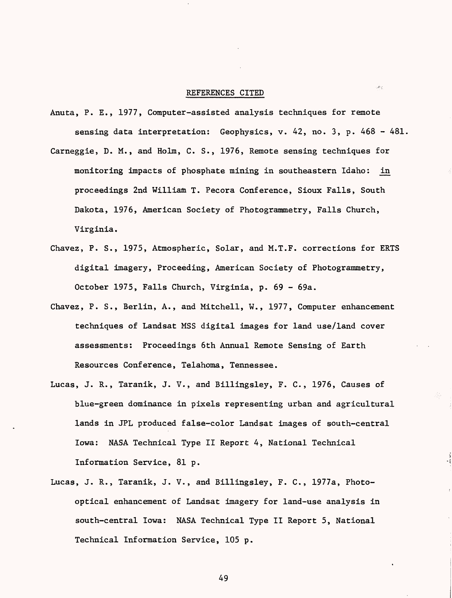#### REFERENCES CITED

حطور

- Anuta, P. E., 1977, Computer-assisted analysis techniques for remote sensing data interpretation: Geophysics, v. 42, no. 3, p. 468 - 481.
- Carneggie, D. M., and Holm, C. S., 1976, Remote sensing techniques for monitoring impacts of phosphate mining in southeastern Idaho: in proceedings 2nd William T. Pecora Conference, Sioux Falls, South Dakota, 1976, American Society of Photogrammetry, Falls Church, Virginia.
- Chavez, P. S., 1975, Atmospheric, Solar, and M.T.F. corrections for ERTS digital imagery, Proceeding, American Society of Photogrammetry, October 1975, Falls Church, Virginia, p. 69 - 69a.
- Chavez, P. S., Berlin, A., and Mitchell, W., 1977, Computer enhancement techniques of Landsat MSS digital images for land use/land cover assessments: Proceedings 6th Annual Remote Sensing of Earth Resources Conference, Telahoma, Tennessee.
- Lucas, J. R., Taranik, J. V., and Billingsley, F. C., 1976, Causes of blue-green dominance in pixels representing urban and agricultural lands in JPL produced false-color Landsat images of south-central Iowa: NASA Technical Type II Report 4, National Technical Information Service, 81 p.
- Lucas, J. R., Taranik, J. V., and Billingsley, F. C., 1977a, Photooptical enhancement of Landsat imagery for land-use analysis in south-central Iowa: NASA Technical Type II Report 5, National Technical Information Service, 105 p.